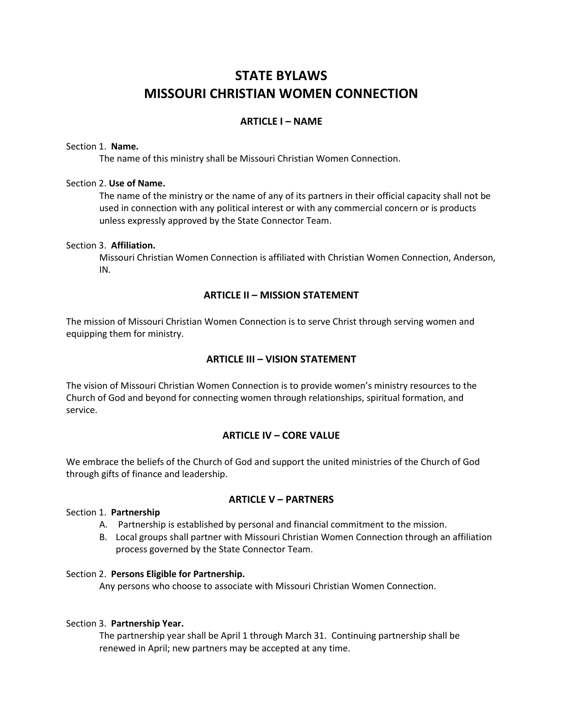# **STATE BYLAWS MISSOURI CHRISTIAN WOMEN CONNECTION**

## **ARTICLE I – NAME**

#### Section 1. **Name.**

The name of this ministry shall be Missouri Christian Women Connection.

#### Section 2. **Use of Name.**

The name of the ministry or the name of any of its partners in their official capacity shall not be used in connection with any political interest or with any commercial concern or is products unless expressly approved by the State Connector Team.

#### Section 3. **Affiliation.**

Missouri Christian Women Connection is affiliated with Christian Women Connection, Anderson, IN.

### **ARTICLE II – MISSION STATEMENT**

The mission of Missouri Christian Women Connection is to serve Christ through serving women and equipping them for ministry.

### **ARTICLE III – VISION STATEMENT**

The vision of Missouri Christian Women Connection is to provide women's ministry resources to the Church of God and beyond for connecting women through relationships, spiritual formation, and service.

### **ARTICLE IV – CORE VALUE**

We embrace the beliefs of the Church of God and support the united ministries of the Church of God through gifts of finance and leadership.

### **ARTICLE V – PARTNERS**

### Section 1. **Partnership**

- A. Partnership is established by personal and financial commitment to the mission.
- B. Local groups shall partner with Missouri Christian Women Connection through an affiliation process governed by the State Connector Team.

### Section 2. **Persons Eligible for Partnership.**

Any persons who choose to associate with Missouri Christian Women Connection.

### Section 3. **Partnership Year.**

The partnership year shall be April 1 through March 31. Continuing partnership shall be renewed in April; new partners may be accepted at any time.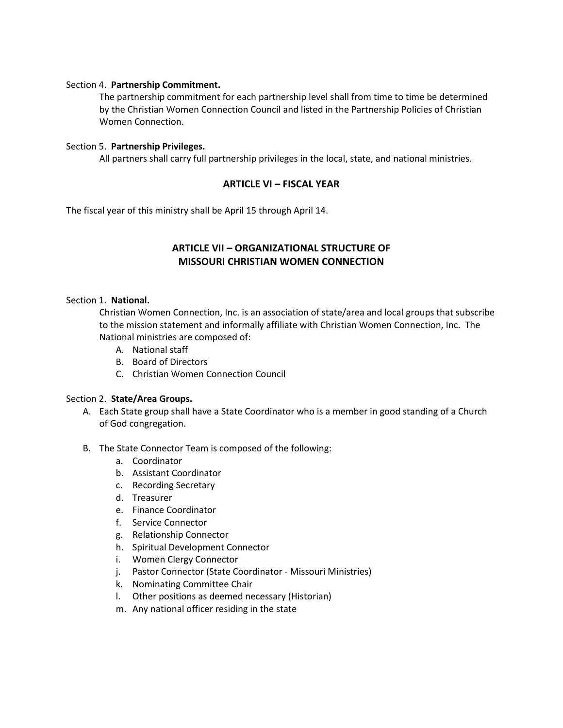#### Section 4. **Partnership Commitment.**

The partnership commitment for each partnership level shall from time to time be determined by the Christian Women Connection Council and listed in the Partnership Policies of Christian Women Connection.

#### Section 5. **Partnership Privileges.**

All partners shall carry full partnership privileges in the local, state, and national ministries.

### **ARTICLE VI – FISCAL YEAR**

The fiscal year of this ministry shall be April 15 through April 14.

## **ARTICLE VII – ORGANIZATIONAL STRUCTURE OF MISSOURI CHRISTIAN WOMEN CONNECTION**

### Section 1. **National.**

Christian Women Connection, Inc. is an association of state/area and local groups that subscribe to the mission statement and informally affiliate with Christian Women Connection, Inc. The National ministries are composed of:

- A. National staff
- B. Board of Directors
- C. Christian Women Connection Council

### Section 2. **State/Area Groups.**

- A. Each State group shall have a State Coordinator who is a member in good standing of a Church of God congregation.
- B. The State Connector Team is composed of the following:
	- a. Coordinator
	- b. Assistant Coordinator
	- c. Recording Secretary
	- d. Treasurer
	- e. Finance Coordinator
	- f. Service Connector
	- g. Relationship Connector
	- h. Spiritual Development Connector
	- i. Women Clergy Connector
	- j. Pastor Connector (State Coordinator Missouri Ministries)
	- k. Nominating Committee Chair
	- l. Other positions as deemed necessary (Historian)
	- m. Any national officer residing in the state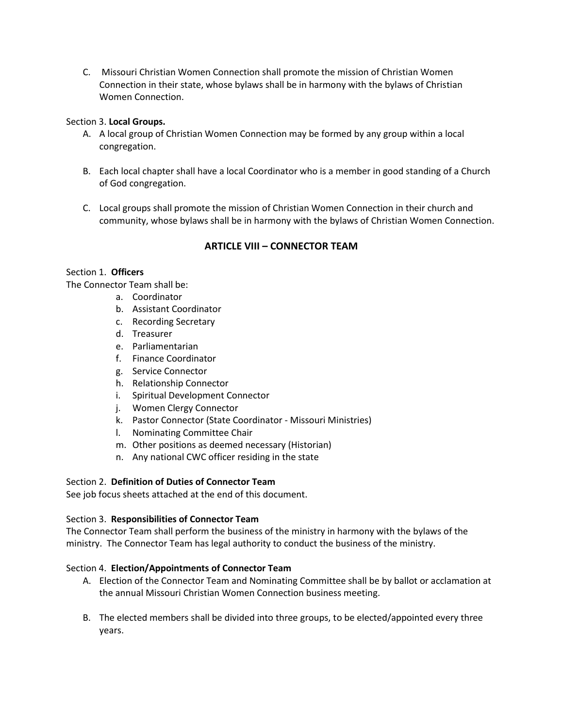C. Missouri Christian Women Connection shall promote the mission of Christian Women Connection in their state, whose bylaws shall be in harmony with the bylaws of Christian Women Connection.

### Section 3. **Local Groups.**

- A. A local group of Christian Women Connection may be formed by any group within a local congregation.
- B. Each local chapter shall have a local Coordinator who is a member in good standing of a Church of God congregation.
- C. Local groups shall promote the mission of Christian Women Connection in their church and community, whose bylaws shall be in harmony with the bylaws of Christian Women Connection.

### **ARTICLE VIII – CONNECTOR TEAM**

### Section 1. **Officers**

The Connector Team shall be:

- a. Coordinator
	- b. Assistant Coordinator
	- c. Recording Secretary
	- d. Treasurer
	- e. Parliamentarian
	- f. Finance Coordinator
	- g. Service Connector
	- h. Relationship Connector
	- i. Spiritual Development Connector
	- j. Women Clergy Connector
	- k. Pastor Connector (State Coordinator Missouri Ministries)
	- l. Nominating Committee Chair
	- m. Other positions as deemed necessary (Historian)
	- n. Any national CWC officer residing in the state

### Section 2. **Definition of Duties of Connector Team**

See job focus sheets attached at the end of this document.

### Section 3. **Responsibilities of Connector Team**

The Connector Team shall perform the business of the ministry in harmony with the bylaws of the ministry. The Connector Team has legal authority to conduct the business of the ministry.

### Section 4. **Election/Appointments of Connector Team**

- A. Election of the Connector Team and Nominating Committee shall be by ballot or acclamation at the annual Missouri Christian Women Connection business meeting.
- B. The elected members shall be divided into three groups, to be elected/appointed every three years.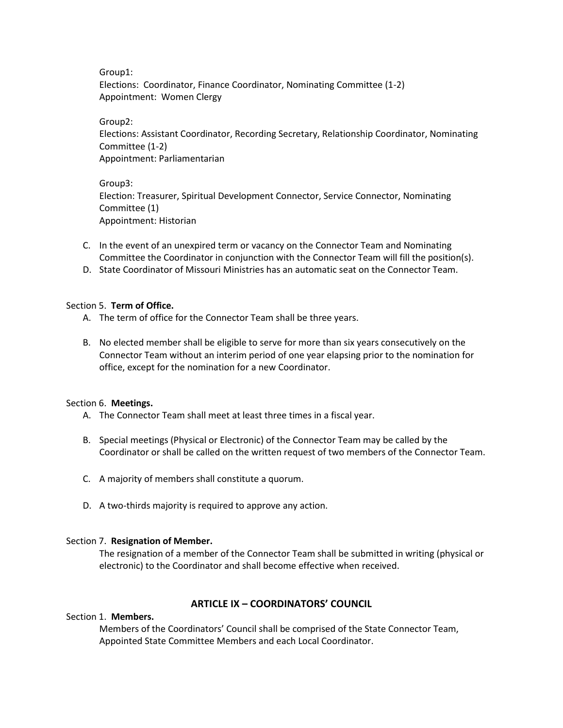Group1:

Elections: Coordinator, Finance Coordinator, Nominating Committee (1-2) Appointment: Women Clergy

Group2:

Elections: Assistant Coordinator, Recording Secretary, Relationship Coordinator, Nominating Committee (1-2) Appointment: Parliamentarian

Group3: Election: Treasurer, Spiritual Development Connector, Service Connector, Nominating Committee (1) Appointment: Historian

- C. In the event of an unexpired term or vacancy on the Connector Team and Nominating Committee the Coordinator in conjunction with the Connector Team will fill the position(s).
- D. State Coordinator of Missouri Ministries has an automatic seat on the Connector Team.

### Section 5. **Term of Office.**

- A. The term of office for the Connector Team shall be three years.
- B. No elected member shall be eligible to serve for more than six years consecutively on the Connector Team without an interim period of one year elapsing prior to the nomination for office, except for the nomination for a new Coordinator.

## Section 6. **Meetings.**

- A. The Connector Team shall meet at least three times in a fiscal year.
- B. Special meetings (Physical or Electronic) of the Connector Team may be called by the Coordinator or shall be called on the written request of two members of the Connector Team.
- C. A majority of members shall constitute a quorum.
- D. A two-thirds majority is required to approve any action.

## Section 7. **Resignation of Member.**

The resignation of a member of the Connector Team shall be submitted in writing (physical or electronic) to the Coordinator and shall become effective when received.

## **ARTICLE IX – COORDINATORS' COUNCIL**

## Section 1. **Members.**

Members of the Coordinators' Council shall be comprised of the State Connector Team, Appointed State Committee Members and each Local Coordinator.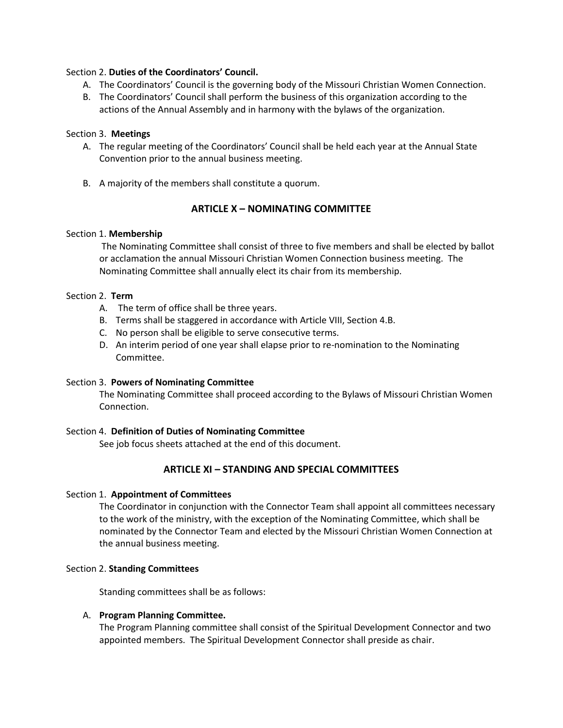#### Section 2. **Duties of the Coordinators' Council.**

- A. The Coordinators' Council is the governing body of the Missouri Christian Women Connection.
- B. The Coordinators' Council shall perform the business of this organization according to the actions of the Annual Assembly and in harmony with the bylaws of the organization.

### Section 3. **Meetings**

- A. The regular meeting of the Coordinators' Council shall be held each year at the Annual State Convention prior to the annual business meeting.
- B. A majority of the members shall constitute a quorum.

### **ARTICLE X – NOMINATING COMMITTEE**

#### Section 1. **Membership**

The Nominating Committee shall consist of three to five members and shall be elected by ballot or acclamation the annual Missouri Christian Women Connection business meeting. The Nominating Committee shall annually elect its chair from its membership.

#### Section 2. **Term**

- A. The term of office shall be three years.
- B. Terms shall be staggered in accordance with Article VIII, Section 4.B.
- C. No person shall be eligible to serve consecutive terms.
- D. An interim period of one year shall elapse prior to re-nomination to the Nominating Committee.

#### Section 3. **Powers of Nominating Committee**

The Nominating Committee shall proceed according to the Bylaws of Missouri Christian Women Connection.

### Section 4. **Definition of Duties of Nominating Committee**

See job focus sheets attached at the end of this document.

### **ARTICLE XI – STANDING AND SPECIAL COMMITTEES**

#### Section 1. **Appointment of Committees**

The Coordinator in conjunction with the Connector Team shall appoint all committees necessary to the work of the ministry, with the exception of the Nominating Committee, which shall be nominated by the Connector Team and elected by the Missouri Christian Women Connection at the annual business meeting.

#### Section 2. **Standing Committees**

Standing committees shall be as follows:

#### A. **Program Planning Committee.**

The Program Planning committee shall consist of the Spiritual Development Connector and two appointed members. The Spiritual Development Connector shall preside as chair.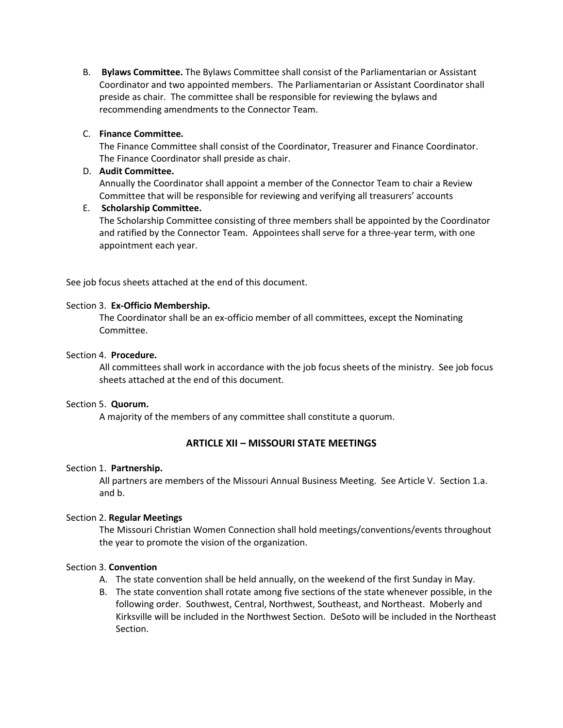B. **Bylaws Committee.** The Bylaws Committee shall consist of the Parliamentarian or Assistant Coordinator and two appointed members. The Parliamentarian or Assistant Coordinator shall preside as chair. The committee shall be responsible for reviewing the bylaws and recommending amendments to the Connector Team.

### C. **Finance Committee.**

The Finance Committee shall consist of the Coordinator, Treasurer and Finance Coordinator. The Finance Coordinator shall preside as chair.

### D. **Audit Committee.**

Annually the Coordinator shall appoint a member of the Connector Team to chair a Review Committee that will be responsible for reviewing and verifying all treasurers' accounts

### E. **Scholarship Committee.**

The Scholarship Committee consisting of three members shall be appointed by the Coordinator and ratified by the Connector Team. Appointees shall serve for a three-year term, with one appointment each year.

See job focus sheets attached at the end of this document.

### Section 3. **Ex-Officio Membership.**

The Coordinator shall be an ex-officio member of all committees, except the Nominating Committee.

### Section 4. **Procedure.**

All committees shall work in accordance with the job focus sheets of the ministry. See job focus sheets attached at the end of this document.

### Section 5. **Quorum.**

A majority of the members of any committee shall constitute a quorum.

## **ARTICLE XII – MISSOURI STATE MEETINGS**

### Section 1. **Partnership.**

All partners are members of the Missouri Annual Business Meeting. See Article V. Section 1.a. and b.

### Section 2. **Regular Meetings**

The Missouri Christian Women Connection shall hold meetings/conventions/events throughout the year to promote the vision of the organization.

### Section 3. **Convention**

- A. The state convention shall be held annually, on the weekend of the first Sunday in May.
- B. The state convention shall rotate among five sections of the state whenever possible, in the following order. Southwest, Central, Northwest, Southeast, and Northeast. Moberly and Kirksville will be included in the Northwest Section. DeSoto will be included in the Northeast Section.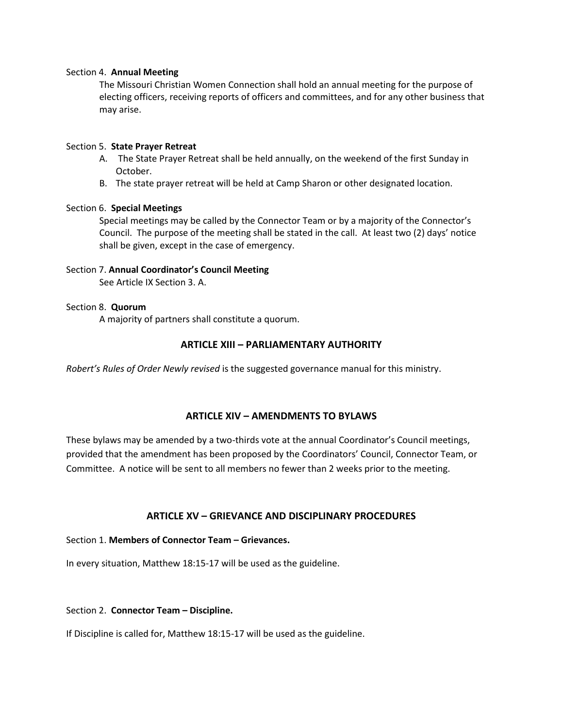#### Section 4. **Annual Meeting**

The Missouri Christian Women Connection shall hold an annual meeting for the purpose of electing officers, receiving reports of officers and committees, and for any other business that may arise.

### Section 5. **State Prayer Retreat**

- A. The State Prayer Retreat shall be held annually, on the weekend of the first Sunday in October.
- B. The state prayer retreat will be held at Camp Sharon or other designated location.

### Section 6. **Special Meetings**

Special meetings may be called by the Connector Team or by a majority of the Connector's Council. The purpose of the meeting shall be stated in the call. At least two (2) days' notice shall be given, except in the case of emergency.

### Section 7. **Annual Coordinator's Council Meeting**

See Article IX Section 3. A.

#### Section 8. **Quorum**

A majority of partners shall constitute a quorum.

### **ARTICLE XIII – PARLIAMENTARY AUTHORITY**

*Robert's Rules of Order Newly revised* is the suggested governance manual for this ministry.

## **ARTICLE XIV – AMENDMENTS TO BYLAWS**

These bylaws may be amended by a two-thirds vote at the annual Coordinator's Council meetings, provided that the amendment has been proposed by the Coordinators' Council, Connector Team, or Committee. A notice will be sent to all members no fewer than 2 weeks prior to the meeting.

## **ARTICLE XV – GRIEVANCE AND DISCIPLINARY PROCEDURES**

### Section 1. **Members of Connector Team – Grievances.**

In every situation, Matthew 18:15-17 will be used as the guideline.

#### Section 2. **Connector Team – Discipline.**

If Discipline is called for, Matthew 18:15-17 will be used as the guideline.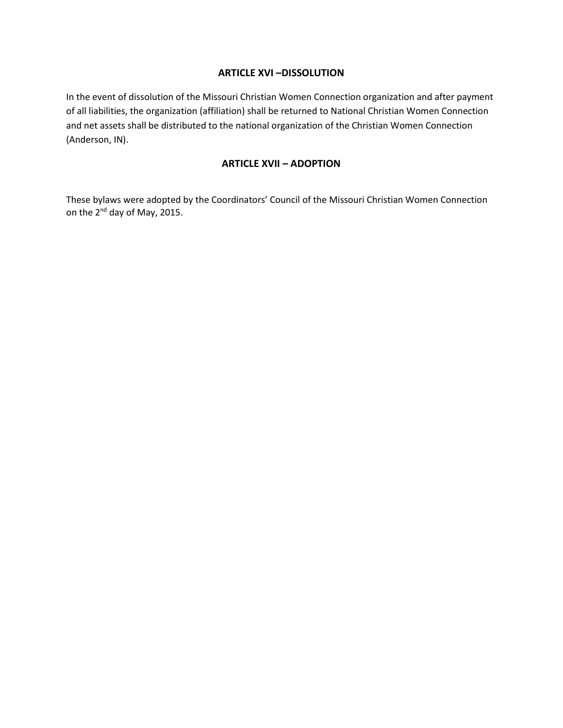### **ARTICLE XVI –DISSOLUTION**

In the event of dissolution of the Missouri Christian Women Connection organization and after payment of all liabilities, the organization (affiliation) shall be returned to National Christian Women Connection and net assets shall be distributed to the national organization of the Christian Women Connection (Anderson, IN).

## **ARTICLE XVII – ADOPTION**

These bylaws were adopted by the Coordinators' Council of the Missouri Christian Women Connection on the 2<sup>nd</sup> day of May, 2015.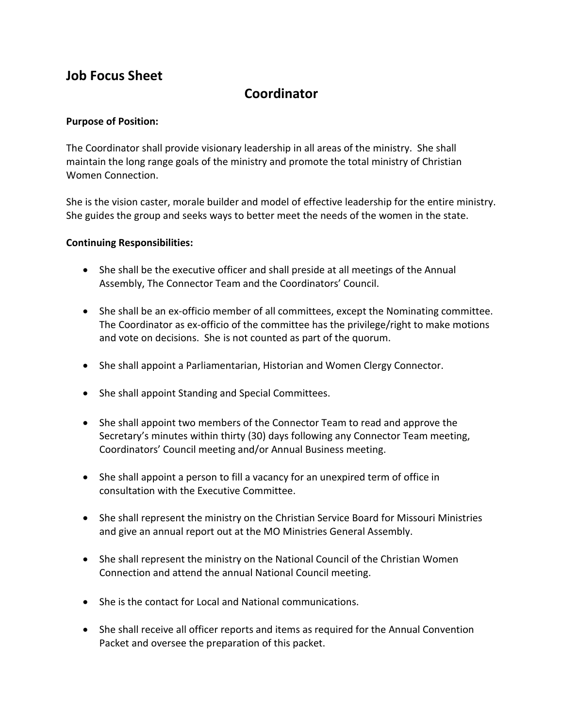## **Coordinator**

## **Purpose of Position:**

The Coordinator shall provide visionary leadership in all areas of the ministry. She shall maintain the long range goals of the ministry and promote the total ministry of Christian Women Connection.

She is the vision caster, morale builder and model of effective leadership for the entire ministry. She guides the group and seeks ways to better meet the needs of the women in the state.

- She shall be the executive officer and shall preside at all meetings of the Annual Assembly, The Connector Team and the Coordinators' Council.
- She shall be an ex-officio member of all committees, except the Nominating committee. The Coordinator as ex-officio of the committee has the privilege/right to make motions and vote on decisions. She is not counted as part of the quorum.
- She shall appoint a Parliamentarian, Historian and Women Clergy Connector.
- She shall appoint Standing and Special Committees.
- She shall appoint two members of the Connector Team to read and approve the Secretary's minutes within thirty (30) days following any Connector Team meeting, Coordinators' Council meeting and/or Annual Business meeting.
- She shall appoint a person to fill a vacancy for an unexpired term of office in consultation with the Executive Committee.
- She shall represent the ministry on the Christian Service Board for Missouri Ministries and give an annual report out at the MO Ministries General Assembly.
- She shall represent the ministry on the National Council of the Christian Women Connection and attend the annual National Council meeting.
- She is the contact for Local and National communications.
- She shall receive all officer reports and items as required for the Annual Convention Packet and oversee the preparation of this packet.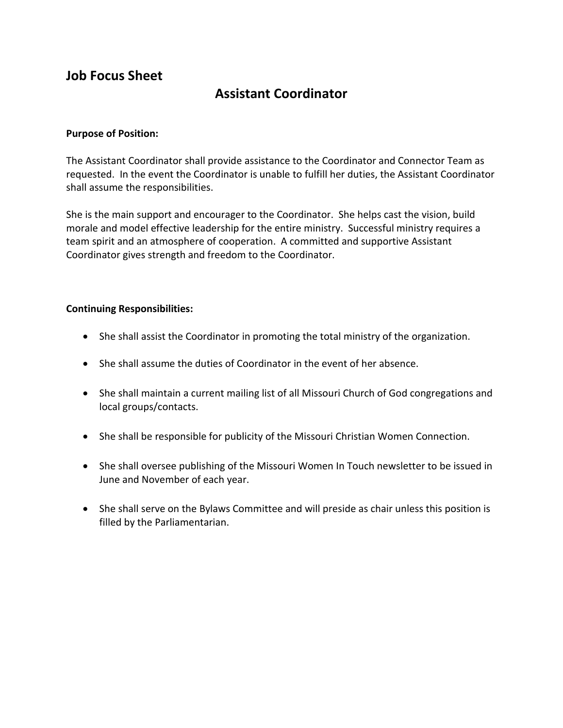## **Assistant Coordinator**

## **Purpose of Position:**

The Assistant Coordinator shall provide assistance to the Coordinator and Connector Team as requested. In the event the Coordinator is unable to fulfill her duties, the Assistant Coordinator shall assume the responsibilities.

She is the main support and encourager to the Coordinator. She helps cast the vision, build morale and model effective leadership for the entire ministry. Successful ministry requires a team spirit and an atmosphere of cooperation. A committed and supportive Assistant Coordinator gives strength and freedom to the Coordinator.

- She shall assist the Coordinator in promoting the total ministry of the organization.
- She shall assume the duties of Coordinator in the event of her absence.
- She shall maintain a current mailing list of all Missouri Church of God congregations and local groups/contacts.
- She shall be responsible for publicity of the Missouri Christian Women Connection.
- She shall oversee publishing of the Missouri Women In Touch newsletter to be issued in June and November of each year.
- She shall serve on the Bylaws Committee and will preside as chair unless this position is filled by the Parliamentarian.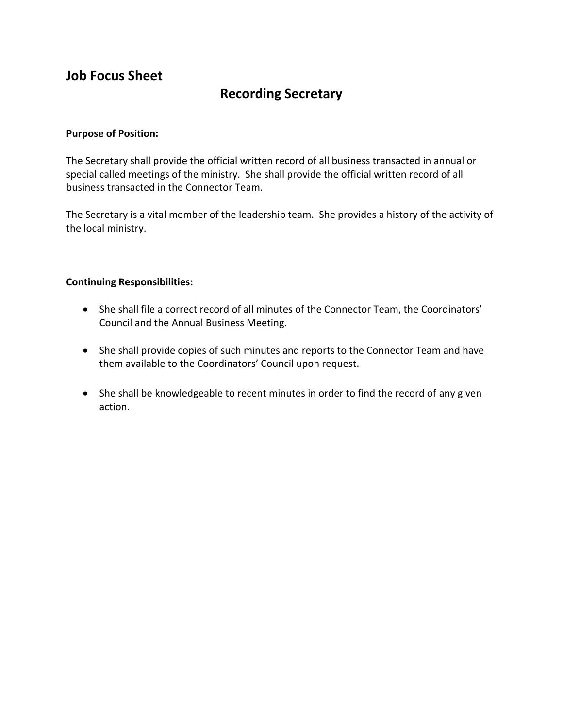# **Recording Secretary**

## **Purpose of Position:**

The Secretary shall provide the official written record of all business transacted in annual or special called meetings of the ministry. She shall provide the official written record of all business transacted in the Connector Team.

The Secretary is a vital member of the leadership team. She provides a history of the activity of the local ministry.

- She shall file a correct record of all minutes of the Connector Team, the Coordinators' Council and the Annual Business Meeting.
- She shall provide copies of such minutes and reports to the Connector Team and have them available to the Coordinators' Council upon request.
- She shall be knowledgeable to recent minutes in order to find the record of any given action.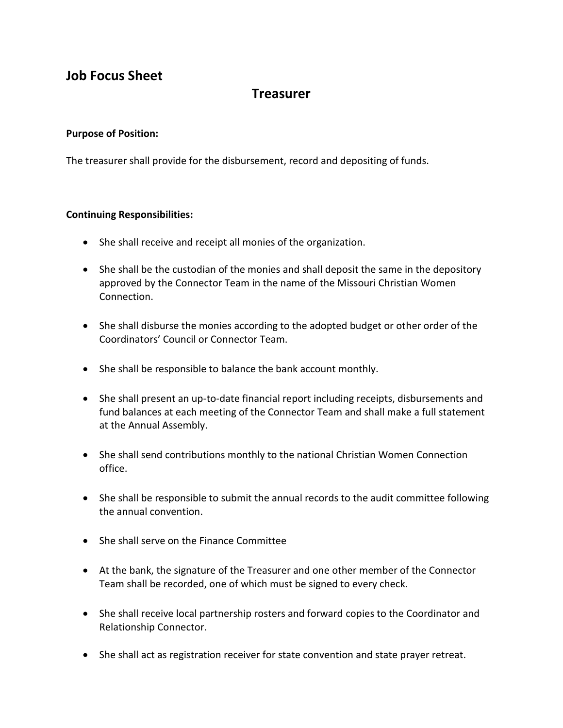## **Treasurer**

## **Purpose of Position:**

The treasurer shall provide for the disbursement, record and depositing of funds.

- She shall receive and receipt all monies of the organization.
- She shall be the custodian of the monies and shall deposit the same in the depository approved by the Connector Team in the name of the Missouri Christian Women Connection.
- She shall disburse the monies according to the adopted budget or other order of the Coordinators' Council or Connector Team.
- She shall be responsible to balance the bank account monthly.
- She shall present an up-to-date financial report including receipts, disbursements and fund balances at each meeting of the Connector Team and shall make a full statement at the Annual Assembly.
- She shall send contributions monthly to the national Christian Women Connection office.
- She shall be responsible to submit the annual records to the audit committee following the annual convention.
- She shall serve on the Finance Committee
- At the bank, the signature of the Treasurer and one other member of the Connector Team shall be recorded, one of which must be signed to every check.
- She shall receive local partnership rosters and forward copies to the Coordinator and Relationship Connector.
- She shall act as registration receiver for state convention and state prayer retreat.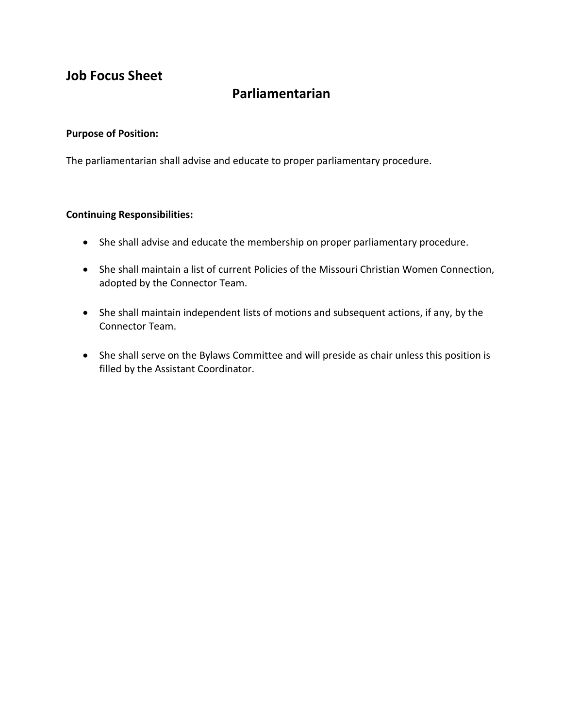# **Parliamentarian**

## **Purpose of Position:**

The parliamentarian shall advise and educate to proper parliamentary procedure.

- She shall advise and educate the membership on proper parliamentary procedure.
- She shall maintain a list of current Policies of the Missouri Christian Women Connection, adopted by the Connector Team.
- She shall maintain independent lists of motions and subsequent actions, if any, by the Connector Team.
- She shall serve on the Bylaws Committee and will preside as chair unless this position is filled by the Assistant Coordinator.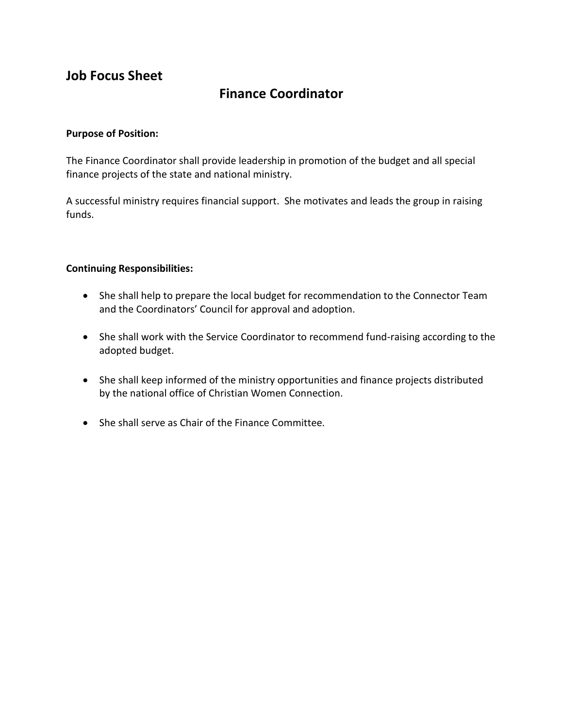## **Finance Coordinator**

### **Purpose of Position:**

The Finance Coordinator shall provide leadership in promotion of the budget and all special finance projects of the state and national ministry.

A successful ministry requires financial support. She motivates and leads the group in raising funds.

- She shall help to prepare the local budget for recommendation to the Connector Team and the Coordinators' Council for approval and adoption.
- She shall work with the Service Coordinator to recommend fund-raising according to the adopted budget.
- She shall keep informed of the ministry opportunities and finance projects distributed by the national office of Christian Women Connection.
- She shall serve as Chair of the Finance Committee.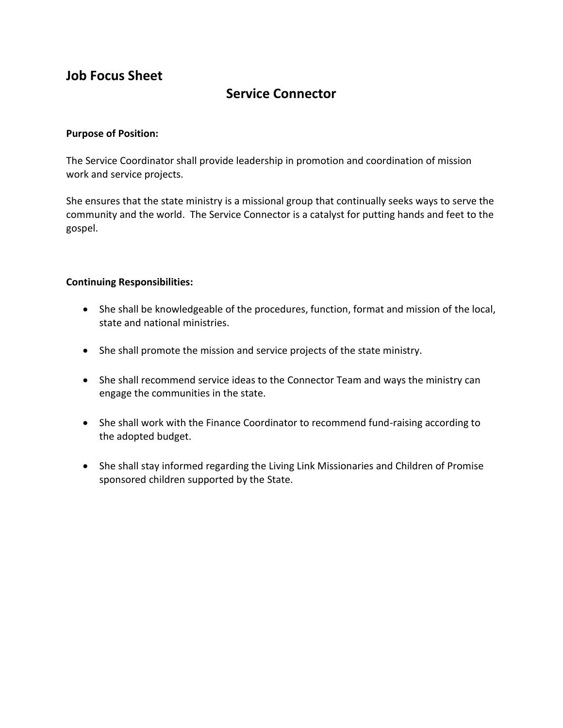## **Service Connector**

## **Purpose of Position:**

The Service Coordinator shall provide leadership in promotion and coordination of mission work and service projects.

She ensures that the state ministry is a missional group that continually seeks ways to serve the community and the world. The Service Connector is a catalyst for putting hands and feet to the gospel.

- She shall be knowledgeable of the procedures, function, format and mission of the local, state and national ministries.
- She shall promote the mission and service projects of the state ministry.
- She shall recommend service ideas to the Connector Team and ways the ministry can engage the communities in the state.
- She shall work with the Finance Coordinator to recommend fund-raising according to the adopted budget.
- She shall stay informed regarding the Living Link Missionaries and Children of Promise sponsored children supported by the State.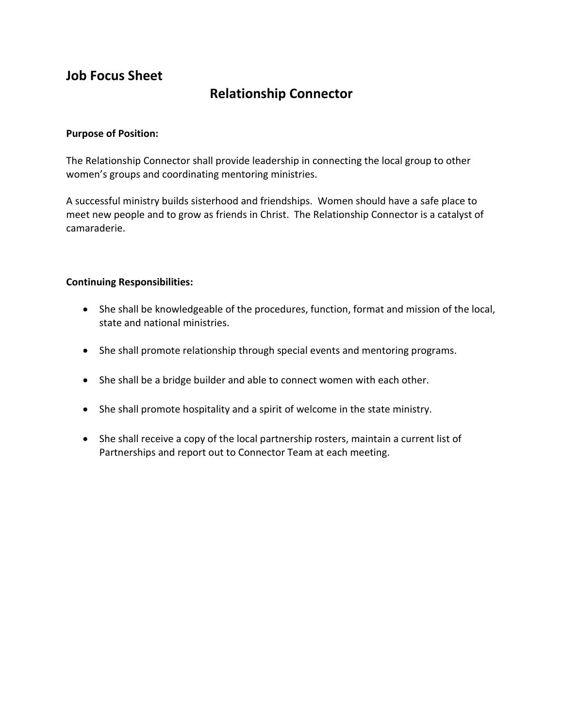## **Relationship Connector**

## **Purpose of Position:**

The Relationship Connector shall provide leadership in connecting the local group to other women's groups and coordinating mentoring ministries.

A successful ministry builds sisterhood and friendships. Women should have a safe place to meet new people and to grow as friends in Christ. The Relationship Connector is a catalyst of camaraderie.

- She shall be knowledgeable of the procedures, function, format and mission of the local, state and national ministries.
- She shall promote relationship through special events and mentoring programs.
- She shall be a bridge builder and able to connect women with each other.
- She shall promote hospitality and a spirit of welcome in the state ministry.
- She shall receive a copy of the local partnership rosters, maintain a current list of Partnerships and report out to Connector Team at each meeting.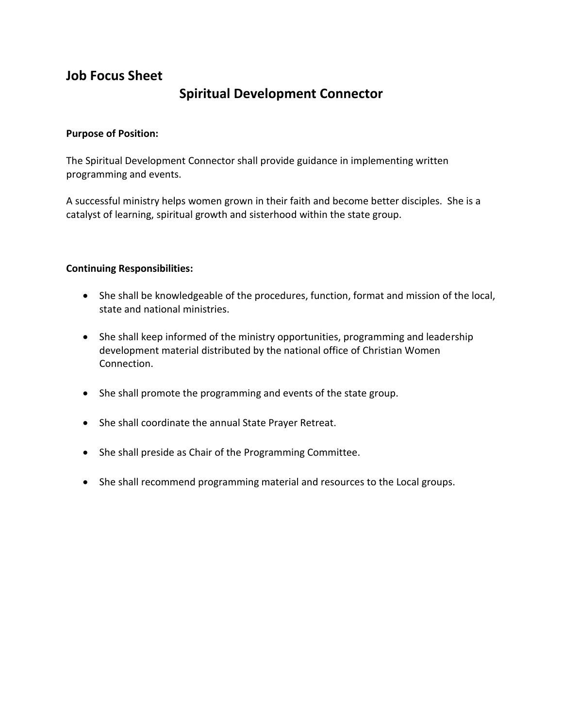## **Spiritual Development Connector**

## **Purpose of Position:**

The Spiritual Development Connector shall provide guidance in implementing written programming and events.

A successful ministry helps women grown in their faith and become better disciples. She is a catalyst of learning, spiritual growth and sisterhood within the state group.

- She shall be knowledgeable of the procedures, function, format and mission of the local, state and national ministries.
- She shall keep informed of the ministry opportunities, programming and leadership development material distributed by the national office of Christian Women Connection.
- She shall promote the programming and events of the state group.
- She shall coordinate the annual State Prayer Retreat.
- She shall preside as Chair of the Programming Committee.
- She shall recommend programming material and resources to the Local groups.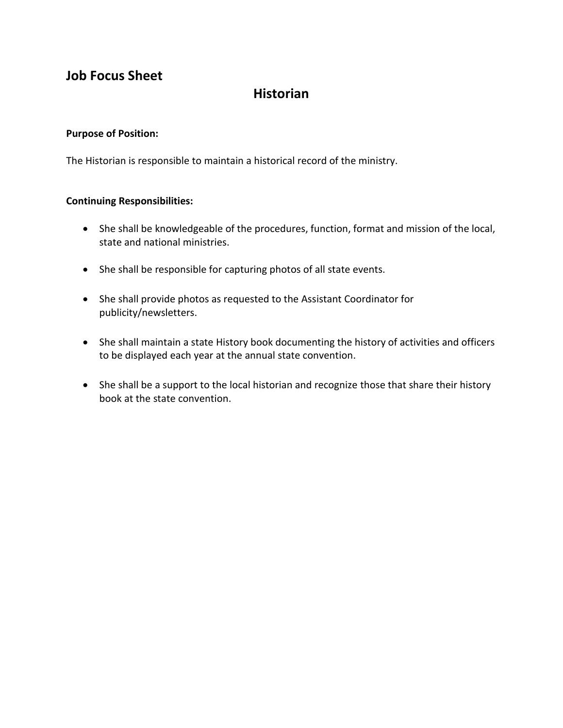## **Historian**

## **Purpose of Position:**

The Historian is responsible to maintain a historical record of the ministry.

- She shall be knowledgeable of the procedures, function, format and mission of the local, state and national ministries.
- She shall be responsible for capturing photos of all state events.
- She shall provide photos as requested to the Assistant Coordinator for publicity/newsletters.
- She shall maintain a state History book documenting the history of activities and officers to be displayed each year at the annual state convention.
- She shall be a support to the local historian and recognize those that share their history book at the state convention.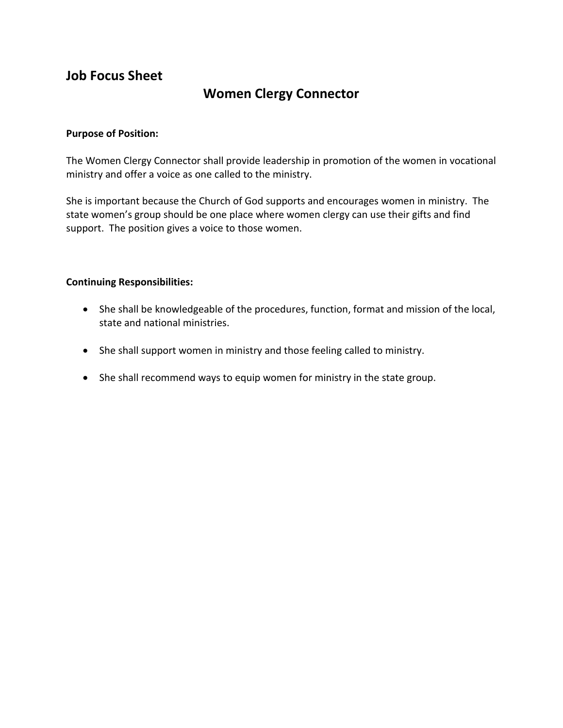## **Women Clergy Connector**

## **Purpose of Position:**

The Women Clergy Connector shall provide leadership in promotion of the women in vocational ministry and offer a voice as one called to the ministry.

She is important because the Church of God supports and encourages women in ministry. The state women's group should be one place where women clergy can use their gifts and find support. The position gives a voice to those women.

- She shall be knowledgeable of the procedures, function, format and mission of the local, state and national ministries.
- She shall support women in ministry and those feeling called to ministry.
- She shall recommend ways to equip women for ministry in the state group.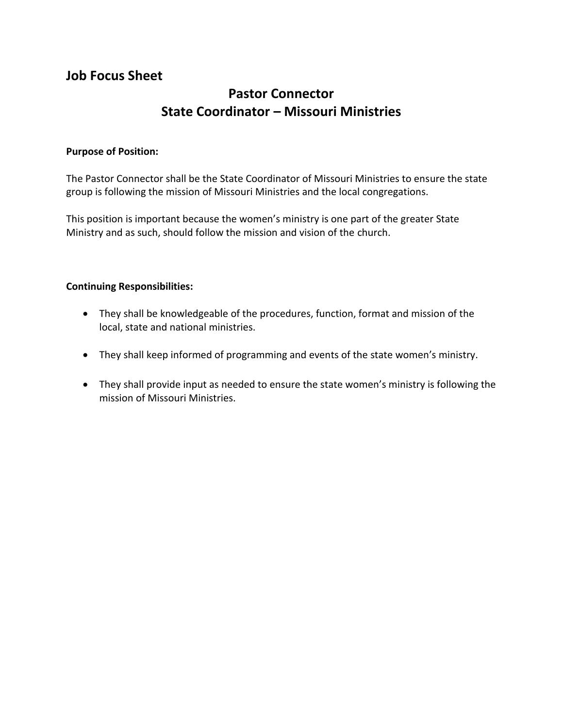# **Pastor Connector State Coordinator – Missouri Ministries**

## **Purpose of Position:**

The Pastor Connector shall be the State Coordinator of Missouri Ministries to ensure the state group is following the mission of Missouri Ministries and the local congregations.

This position is important because the women's ministry is one part of the greater State Ministry and as such, should follow the mission and vision of the church.

- They shall be knowledgeable of the procedures, function, format and mission of the local, state and national ministries.
- They shall keep informed of programming and events of the state women's ministry.
- They shall provide input as needed to ensure the state women's ministry is following the mission of Missouri Ministries.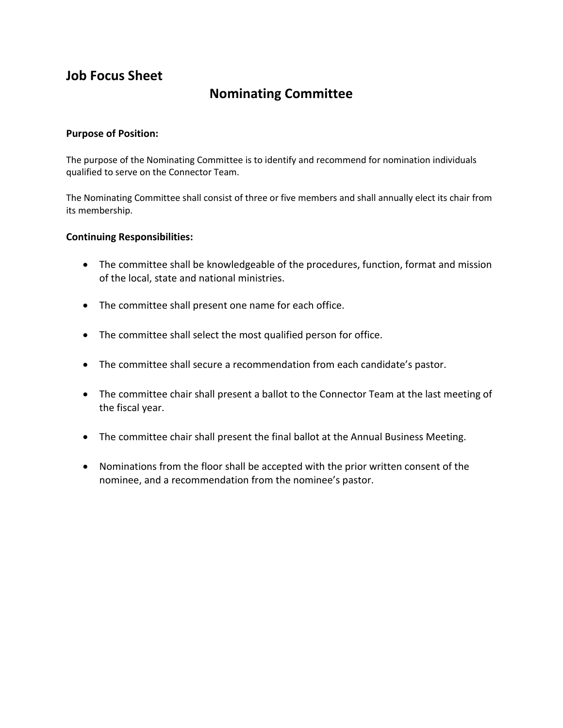## **Nominating Committee**

## **Purpose of Position:**

The purpose of the Nominating Committee is to identify and recommend for nomination individuals qualified to serve on the Connector Team.

The Nominating Committee shall consist of three or five members and shall annually elect its chair from its membership.

- The committee shall be knowledgeable of the procedures, function, format and mission of the local, state and national ministries.
- The committee shall present one name for each office.
- The committee shall select the most qualified person for office.
- The committee shall secure a recommendation from each candidate's pastor.
- The committee chair shall present a ballot to the Connector Team at the last meeting of the fiscal year.
- The committee chair shall present the final ballot at the Annual Business Meeting.
- Nominations from the floor shall be accepted with the prior written consent of the nominee, and a recommendation from the nominee's pastor.